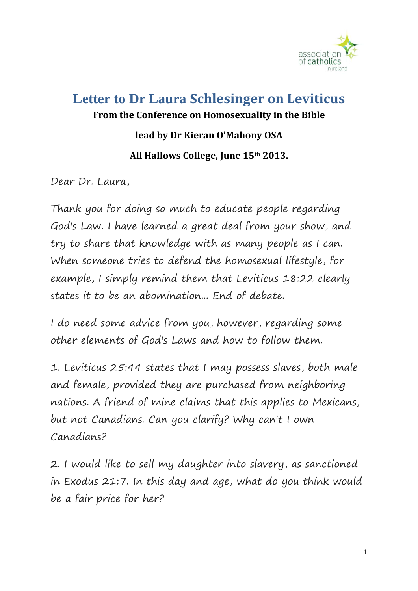

## **Letter to Dr Laura Schlesinger on Leviticus From the Conference on Homosexuality in the Bible lead by Dr Kieran O'Mahony OSA All Hallows College, June 15th 2013.**

Dear Dr. Laura,

Thank you for doing so much to educate people regarding God's Law. I have learned a great deal from your show, and try to share that knowledge with as many people as I can. When someone tries to defend the homosexual lifestyle, for example, I simply remind them that Leviticus 18:22 clearly states it to be an abomination... End of debate.

I do need some advice from you, however, regarding some other elements of God's Laws and how to follow them.

1. Leviticus 25:44 states that I may possess slaves, both male and female, provided they are purchased from neighboring nations. A friend of mine claims that this applies to Mexicans, but not Canadians. Can you clarify? Why can't I own Canadians?

2. I would like to sell my daughter into slavery, as sanctioned in Exodus 21:7. In this day and age, what do you think would be a fair price for her?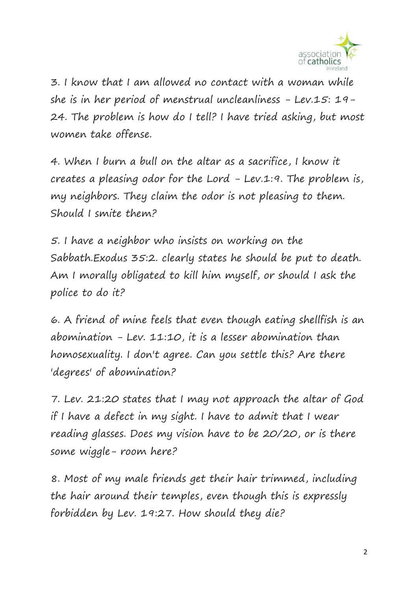

3. I know that I am allowed no contact with a woman while she is in her period of menstrual uncleanliness - Lev.15: 19- 24. The problem is how do I tell? I have tried asking, but most women take offense.

4. When I burn a bull on the altar as a sacrifice, I know it creates a pleasing odor for the Lord - Lev.1:9. The problem is, my neighbors. They claim the odor is not pleasing to them. Should I smite them?

5. I have a neighbor who insists on working on the Sabbath.Exodus 35:2. clearly states he should be put to death. Am I morally obligated to kill him myself, or should I ask the police to do it?

6. A friend of mine feels that even though eating shellfish is an abomination  $-$  Lev. 11:10, it is a lesser abomination than homosexuality. I don't agree. Can you settle this? Are there 'degrees' of abomination?

7. Lev. 21:20 states that I may not approach the altar of God if I have a defect in my sight. I have to admit that I wear reading glasses. Does my vision have to be 20/20, or is there some wiggle- room here?

8. Most of my male friends get their hair trimmed, including the hair around their temples, even though this is expressly forbidden by Lev. 19:27. How should they die?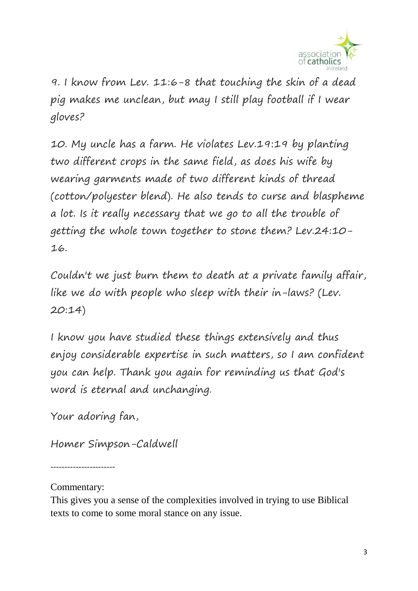

9. I know from Lev. 11:6-8 that touching the skin of a dead pig makes me unclean, but may I still play football if I wear gloves?

10. My uncle has a farm. He violates Lev.19:19 by planting two different crops in the same field, as does his wife by wearing garments made of two different kinds of thread (cotton/polyester blend). He also tends to curse and blaspheme a lot. Is it really necessary that we go to all the trouble of getting the whole town together to stone them? Lev.24:10- 16.

Couldn't we just burn them to death at a private family affair, like we do with people who sleep with their in-laws? (Lev. 20:14)

I know you have studied these things extensively and thus enjoy considerable expertise in such matters, so I am confident you can help. Thank you again for reminding us that God's word is eternal and unchanging.

Your adoring fan,

Homer Simpson-Caldwell

-----------------------

Commentary:

This gives you a sense of the complexities involved in trying to use Biblical texts to come to some moral stance on any issue.